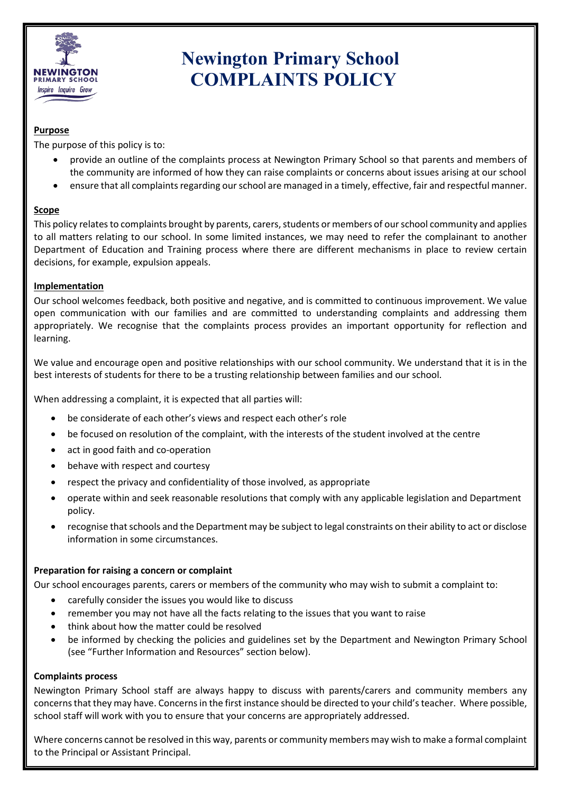

# **Newington Primary School COMPLAINTS POLICY**

# **Purpose**

The purpose of this policy is to:

- provide an outline of the complaints process at Newington Primary School so that parents and members of the community are informed of how they can raise complaints or concerns about issues arising at our school
- ensure that all complaints regarding our school are managed in a timely, effective, fair and respectful manner.

# **Scope**

This policy relates to complaints brought by parents, carers, students or members of our school community and applies to all matters relating to our school. In some limited instances, we may need to refer the complainant to another Department of Education and Training process where there are different mechanisms in place to review certain decisions, for example, expulsion appeals.

# **Implementation**

Our school welcomes feedback, both positive and negative, and is committed to continuous improvement. We value open communication with our families and are committed to understanding complaints and addressing them appropriately. We recognise that the complaints process provides an important opportunity for reflection and learning.

We value and encourage open and positive relationships with our school community. We understand that it is in the best interests of students for there to be a trusting relationship between families and our school.

When addressing a complaint, it is expected that all parties will:

- be considerate of each other's views and respect each other's role
- be focused on resolution of the complaint, with the interests of the student involved at the centre
- act in good faith and co-operation
- behave with respect and courtesy
- respect the privacy and confidentiality of those involved, as appropriate
- operate within and seek reasonable resolutions that comply with any applicable legislation and Department policy.
- recognise that schools and the Department may be subject to legal constraints on their ability to act or disclose information in some circumstances.

# **Preparation for raising a concern or complaint**

Our school encourages parents, carers or members of the community who may wish to submit a complaint to:

- carefully consider the issues you would like to discuss
- remember you may not have all the facts relating to the issues that you want to raise
- think about how the matter could be resolved
- be informed by checking the policies and guidelines set by the Department and Newington Primary School (see "Further Information and Resources" section below).

#### **Complaints process**

Newington Primary School staff are always happy to discuss with parents/carers and community members any concerns that they may have. Concerns in the first instance should be directed to your child's teacher. Where possible, school staff will work with you to ensure that your concerns are appropriately addressed.

Where concerns cannot be resolved in this way, parents or community members may wish to make a formal complaint to the Principal or Assistant Principal.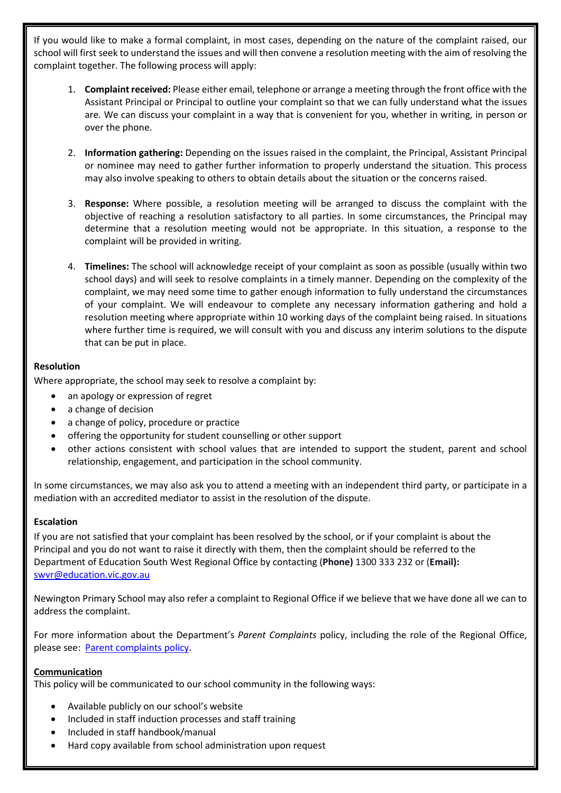If you would like to make a formal complaint, in most cases, depending on the nature of the complaint raised, our school will first seek to understand the issues and will then convene a resolution meeting with the aim of resolving the complaint together. The following process will apply:

- 1. **Complaint received:** Please either email, telephone or arrange a meeting through the front office with the Assistant Principal or Principal to outline your complaint so that we can fully understand what the issues are. We can discuss your complaint in a way that is convenient for you, whether in writing, in person or over the phone.
- 2. **Information gathering:** Depending on the issues raised in the complaint, the Principal, Assistant Principal or nominee may need to gather further information to properly understand the situation. This process may also involve speaking to others to obtain details about the situation or the concerns raised.
- 3. **Response:** Where possible, a resolution meeting will be arranged to discuss the complaint with the objective of reaching a resolution satisfactory to all parties. In some circumstances, the Principal may determine that a resolution meeting would not be appropriate. In this situation, a response to the complaint will be provided in writing.
- 4. **Timelines:** The school will acknowledge receipt of your complaint as soon as possible (usually within two school days) and will seek to resolve complaints in a timely manner. Depending on the complexity of the complaint, we may need some time to gather enough information to fully understand the circumstances of your complaint. We will endeavour to complete any necessary information gathering and hold a resolution meeting where appropriate within 10 working days of the complaint being raised. In situations where further time is required, we will consult with you and discuss any interim solutions to the dispute that can be put in place.

#### **Resolution**

Where appropriate, the school may seek to resolve a complaint by:

- an apology or expression of regret
- a change of decision
- a change of policy, procedure or practice
- offering the opportunity for student counselling or other support
- other actions consistent with school values that are intended to support the student, parent and school relationship, engagement, and participation in the school community.

In some circumstances, we may also ask you to attend a meeting with an independent third party, or participate in a mediation with an accredited mediator to assist in the resolution of the dispute.

# **Escalation**

If you are not satisfied that your complaint has been resolved by the school, or if your complaint is about the Principal and you do not want to raise it directly with them, then the complaint should be referred to the Department of Education South West Regional Office by contacting (**Phone)** 1300 333 232 or (**Email):**  [swvr@education.vic.gov.au](mailto:swvr@education.vic.gov.au)

Newington Primary School may also refer a complaint to Regional Office if we believe that we have done all we can to address the complaint.

For more information about the Department's *Parent Complaints* policy, including the role of the Regional Office, please see: [Parent complaints policy.](http://www.education.vic.gov.au/Documents/school/principals/spag/community/policyparentsconcerns.pdf)

# **Communication**

This policy will be communicated to our school community in the following ways:

- Available publicly on our school's website
- Included in staff induction processes and staff training
- Included in staff handbook/manual
- Hard copy available from school administration upon request